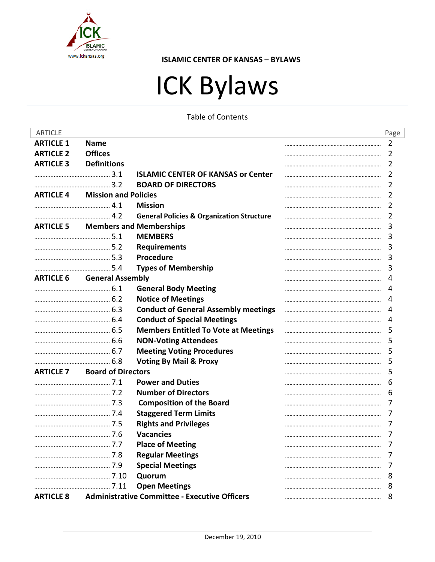

# ICK Bylaws

**Table of Contents** 

| <b>ARTICLE</b>   |                                          |                                                      |  | Page |
|------------------|------------------------------------------|------------------------------------------------------|--|------|
| <b>ARTICLE 1</b> | <b>Name</b>                              |                                                      |  | 2    |
| <b>ARTICLE 2</b> | <b>Offices</b>                           |                                                      |  | 2    |
| <b>ARTICLE 3</b> | <b>Definitions</b>                       |                                                      |  | 2    |
|                  |                                          | <b>ISLAMIC CENTER OF KANSAS or Center</b>            |  | 2    |
|                  |                                          | <b>BOARD OF DIRECTORS</b>                            |  | 2    |
|                  | <b>ARTICLE 4</b> Mission and Policies    |                                                      |  | 2    |
|                  |                                          | <b>Mission</b>                                       |  | 2    |
|                  |                                          | <b>General Policies &amp; Organization Structure</b> |  | 2    |
|                  | <b>ARTICLE 5 Members and Memberships</b> |                                                      |  | 3    |
|                  |                                          | <b>MEMBERS</b>                                       |  | 3    |
|                  |                                          | <b>Requirements</b>                                  |  | 3    |
|                  |                                          | <b>Procedure</b>                                     |  | 3    |
|                  |                                          | <b>Types of Membership</b>                           |  | 3    |
|                  | <b>ARTICLE 6</b> General Assembly        |                                                      |  | 4    |
|                  |                                          | <b>General Body Meeting</b>                          |  | 4    |
|                  |                                          | <b>Notice of Meetings</b>                            |  | 4    |
|                  |                                          | <b>Conduct of General Assembly meetings</b>          |  | 4    |
|                  |                                          | <b>Conduct of Special Meetings</b>                   |  | 4    |
|                  |                                          | <b>Members Entitled To Vote at Meetings</b>          |  | 5    |
|                  |                                          | <b>NON-Voting Attendees</b>                          |  | 5    |
|                  |                                          | <b>Meeting Voting Procedures</b>                     |  | 5    |
|                  |                                          | <b>Voting By Mail &amp; Proxy</b>                    |  | 5    |
|                  | <b>ARTICLE 7 Board of Directors</b>      |                                                      |  | 5    |
|                  |                                          | <b>Power and Duties</b>                              |  | 6    |
|                  |                                          | <b>Number of Directors</b>                           |  | 6    |
|                  |                                          | <b>Composition of the Board</b>                      |  | 7    |
|                  |                                          | <b>Staggered Term Limits</b>                         |  | 7    |
|                  |                                          | <b>Rights and Privileges</b>                         |  | 7    |
|                  |                                          | <b>Vacancies</b>                                     |  |      |
|                  |                                          | <b>Place of Meeting</b>                              |  |      |
|                  |                                          | <b>Regular Meetings</b>                              |  | 7    |
|                  |                                          | <b>Special Meetings</b>                              |  |      |
|                  |                                          | Quorum                                               |  | 8    |
|                  |                                          | <b>Open Meetings</b>                                 |  | 8    |
| <b>ARTICLE 8</b> |                                          | <b>Administrative Committee - Executive Officers</b> |  | 8    |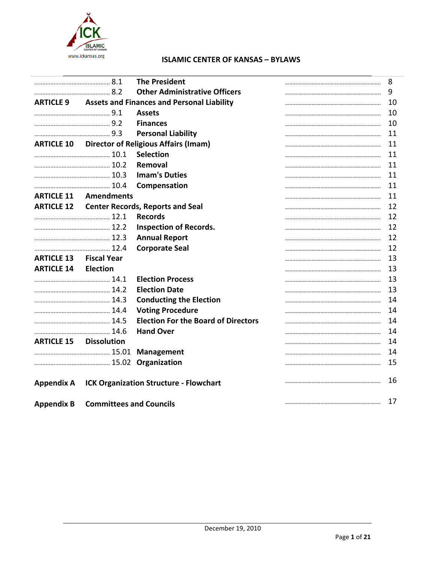

|                               |                                                             | <b>The President</b>                          | 8  |
|-------------------------------|-------------------------------------------------------------|-----------------------------------------------|----|
|                               |                                                             | <b>Other Administrative Officers</b>          | 9  |
|                               | <b>ARTICLE 9</b> Assets and Finances and Personal Liability |                                               | 10 |
|                               |                                                             | <b>Assets</b>                                 | 10 |
|                               |                                                             | <b>Finances</b>                               | 10 |
|                               |                                                             | <b>Personal Liability</b>                     | 11 |
|                               | <b>ARTICLE 10 Director of Religious Affairs (Imam)</b>      |                                               | 11 |
|                               |                                                             | <b>Selection</b>                              | 11 |
|                               |                                                             | Removal                                       | 11 |
|                               |                                                             | <b>Imam's Duties</b>                          | 11 |
|                               |                                                             | Compensation                                  | 11 |
|                               | <b>ARTICLE 11 Amendments</b>                                |                                               | 11 |
|                               | <b>ARTICLE 12 Center Records, Reports and Seal</b>          |                                               | 12 |
|                               |                                                             | <b>Records</b>                                | 12 |
|                               |                                                             | <b>Inspection of Records.</b>                 | 12 |
|                               |                                                             | <b>Annual Report</b>                          | 12 |
|                               |                                                             | <b>Corporate Seal</b>                         | 12 |
| <b>ARTICLE 13 Fiscal Year</b> |                                                             |                                               | 13 |
| <b>ARTICLE 14</b>             | Election                                                    |                                               | 13 |
|                               |                                                             | <b>Election Process</b>                       | 13 |
|                               |                                                             | <b>Election Date</b>                          | 13 |
|                               |                                                             | <b>Conducting the Election</b>                | 14 |
|                               |                                                             | <b>Voting Procedure</b>                       | 14 |
|                               |                                                             | <b>Election For the Board of Directors</b>    | 14 |
|                               |                                                             | <b>Hand Over</b>                              | 14 |
| <b>ARTICLE 15 Dissolution</b> |                                                             |                                               | 14 |
|                               |                                                             |                                               | 14 |
|                               |                                                             |                                               | 15 |
| <b>Appendix A</b>             |                                                             | <b>ICK Organization Structure - Flowchart</b> | 16 |
| <b>Appendix B</b>             | <b>Committees and Councils</b>                              |                                               | 17 |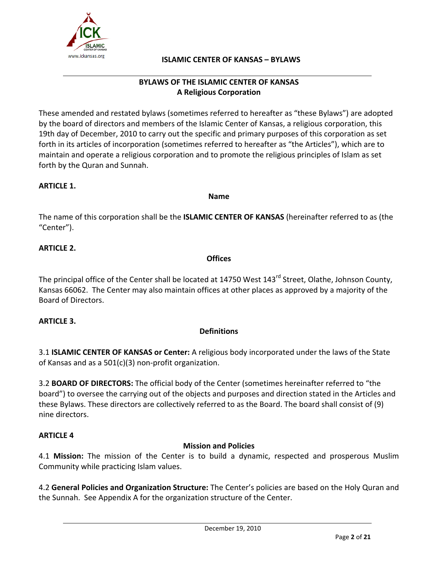

# **BYLAWS OF THE ISLAMIC CENTER OF KANSAS A Religious Corporation**

These amended and restated bylaws (sometimes referred to hereafter as "these Bylaws") are adopted by the board of directors and members of the Islamic Center of Kansas, a religious corporation, this 19th day of December, 2010 to carry out the specific and primary purposes of this corporation as set forth in its articles of incorporation (sometimes referred to hereafter as "the Articles"), which are to maintain and operate a religious corporation and to promote the religious principles of Islam as set forth by the Quran and Sunnah.

## **ARTICLE 1.**

**Name**

The name of this corporation shall be the **ISLAMIC CENTER OF KANSAS** (hereinafter referred to as (the "Center").

# **ARTICLE 2.**

#### **Offices**

The principal office of the Center shall be located at 14750 West 143<sup>rd</sup> Street, Olathe, Johnson County, Kansas 66062. The Center may also maintain offices at other places as approved by a majority of the Board of Directors.

#### **ARTICLE 3.**

# **Definitions**

3.1 **ISLAMIC CENTER OF KANSAS or Center:** A religious body incorporated under the laws of the State of Kansas and as a 501(c)(3) non‐profit organization.

3.2 **BOARD OF DIRECTORS:** The official body of the Center (sometimes hereinafter referred to "the board") to oversee the carrying out of the objects and purposes and direction stated in the Articles and these Bylaws. These directors are collectively referred to as the Board. The board shall consist of (9) nine directors.

# **ARTICLE 4**

# **Mission and Policies**

4.1 **Mission:** The mission of the Center is to build a dynamic, respected and prosperous Muslim Community while practicing Islam values.

4.2 **General Policies and Organization Structure:** The Center's policies are based on the Holy Quran and the Sunnah. See Appendix A for the organization structure of the Center.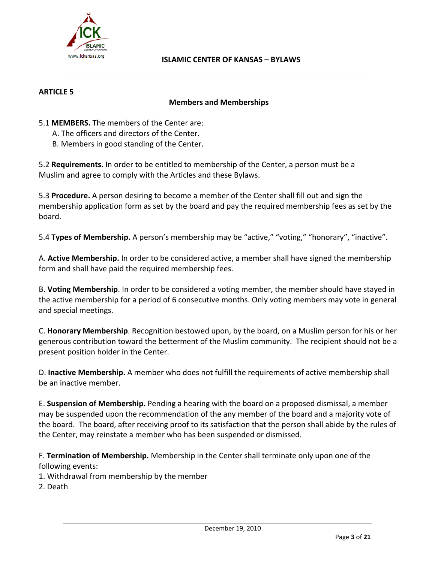

#### **ARTICLE 5**

#### **Members and Memberships**

- 5.1 **MEMBERS.** The members of the Center are:
	- A. The officers and directors of the Center.
	- B. Members in good standing of the Center.

5.2 **Requirements.** In order to be entitled to membership of the Center, a person must be a Muslim and agree to comply with the Articles and these Bylaws.

5.3 **Procedure.** A person desiring to become a member of the Center shall fill out and sign the membership application form as set by the board and pay the required membership fees as set by the board.

5.4 **Types of Membership.** A person's membership may be "active," "voting," "honorary", "inactive".

A. **Active Membership.** In order to be considered active, a member shall have signed the membership form and shall have paid the required membership fees.

B. **Voting Membership**. In order to be considered a voting member, the member should have stayed in the active membership for a period of 6 consecutive months. Only voting members may vote in general and special meetings.

C. **Honorary Membership**. Recognition bestowed upon, by the board, on a Muslim person for his or her generous contribution toward the betterment of the Muslim community. The recipient should not be a present position holder in the Center.

D. **Inactive Membership.** A member who does not fulfill the requirements of active membership shall be an inactive member.

E. **Suspension of Membership.** Pending a hearing with the board on a proposed dismissal, a member may be suspended upon the recommendation of the any member of the board and a majority vote of the board. The board, after receiving proof to its satisfaction that the person shall abide by the rules of the Center, may reinstate a member who has been suspended or dismissed.

F. **Termination of Membership.** Membership in the Center shall terminate only upon one of the following events:

1. Withdrawal from membership by the member

2. Death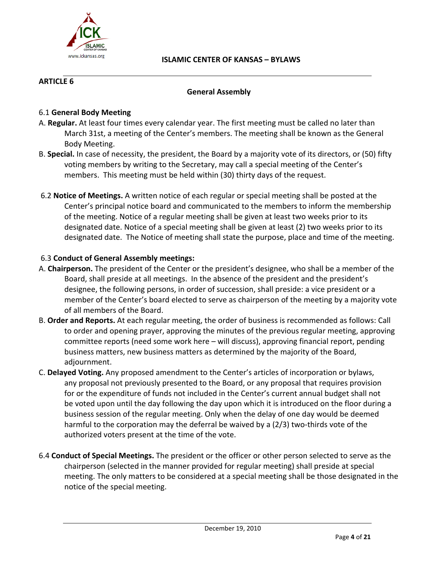

# **ARTICLE 6**

## **General Assembly**

## 6.1 **General Body Meeting**

- A. **Regular.** At least four times every calendar year. The first meeting must be called no later than March 31st, a meeting of the Center's members. The meeting shall be known as the General Body Meeting.
- B. **Special.** In case of necessity, the president, the Board by a majority vote of its directors, or (50) fifty voting members by writing to the Secretary, may call a special meeting of the Center's members. This meeting must be held within (30) thirty days of the request.
- 6.2 **Notice of Meetings.** A written notice of each regular or special meeting shall be posted at the Center's principal notice board and communicated to the members to inform the membership of the meeting. Notice of a regular meeting shall be given at least two weeks prior to its designated date. Notice of a special meeting shall be given at least (2) two weeks prior to its designated date. The Notice of meeting shall state the purpose, place and time of the meeting.

## 6.3 **Conduct of General Assembly meetings:**

- A. **Chairperson.** The president of the Center or the president's designee, who shall be a member of the Board, shall preside at all meetings. In the absence of the president and the president's designee, the following persons, in order of succession, shall preside: a vice president or a member of the Center's board elected to serve as chairperson of the meeting by a majority vote of all members of the Board.
- B. **Order and Reports.** At each regular meeting, the order of business is recommended as follows: Call to order and opening prayer, approving the minutes of the previous regular meeting, approving committee reports (need some work here – will discuss), approving financial report, pending business matters, new business matters as determined by the majority of the Board, adjournment.
- C. **Delayed Voting.** Any proposed amendment to the Center's articles of incorporation or bylaws, any proposal not previously presented to the Board, or any proposal that requires provision for or the expenditure of funds not included in the Center's current annual budget shall not be voted upon until the day following the day upon which it is introduced on the floor during a business session of the regular meeting. Only when the delay of one day would be deemed harmful to the corporation may the deferral be waived by a (2/3) two‐thirds vote of the authorized voters present at the time of the vote.
- 6.4 **Conduct of Special Meetings.** The president or the officer or other person selected to serve as the chairperson (selected in the manner provided for regular meeting) shall preside at special meeting. The only matters to be considered at a special meeting shall be those designated in the notice of the special meeting.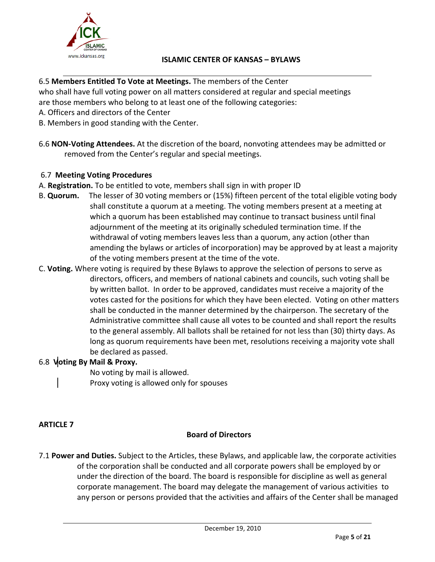

# 6.5 **Members Entitled To Vote at Meetings.** The members of the Center

who shall have full voting power on all matters considered at regular and special meetings are those members who belong to at least one of the following categories:

- A. Officers and directors of the Center
- B. Members in good standing with the Center.
- 6.6 **NON‐Voting Attendees.** At the discretion of the board, nonvoting attendees may be admitted or removed from the Center's regular and special meetings.

## 6.7 **Meeting Voting Procedures**

- A. **Registration.** To be entitled to vote, members shall sign in with proper ID
- B. **Quorum.** The lesser of 30 voting members or (15%) fifteen percent of the total eligible voting body shall constitute a quorum at a meeting. The voting members present at a meeting at which a quorum has been established may continue to transact business until final adjournment of the meeting at its originally scheduled termination time. If the withdrawal of voting members leaves less than a quorum, any action (other than amending the bylaws or articles of incorporation) may be approved by at least a majority of the voting members present at the time of the vote.
- C. **Voting.** Where voting is required by these Bylaws to approve the selection of persons to serve as directors, officers, and members of national cabinets and councils, such voting shall be by written ballot. In order to be approved, candidates must receive a majority of the votes casted for the positions for which they have been elected. Voting on other matters shall be conducted in the manner determined by the chairperson. The secretary of the Administrative committee shall cause all votes to be counted and shall report the results to the general assembly. All ballots shall be retained for not less than (30) thirty days. As long as quorum requirements have been met, resolutions receiving a majority vote shall be declared as passed.

# 6.8 **Voting By Mail & Proxy.**

No voting by mail is allowed.

Proxy voting is allowed only for spouses

#### **ARTICLE 7**

# **Board of Directors**

7.1 **Power and Duties.** Subject to the Articles, these Bylaws, and applicable law, the corporate activities of the corporation shall be conducted and all corporate powers shall be employed by or under the direction of the board. The board is responsible for discipline as well as general corporate management. The board may delegate the management of various activities to any person or persons provided that the activities and affairs of the Center shall be managed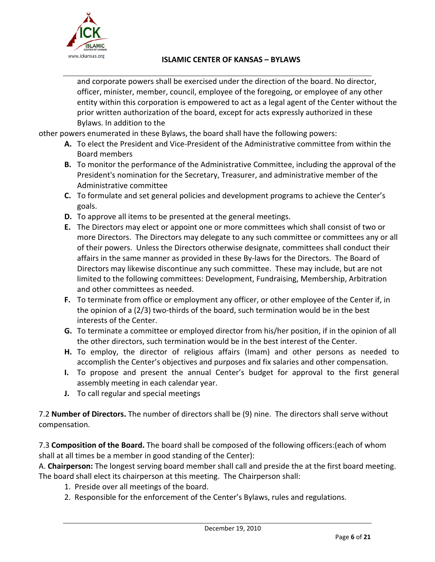

and corporate powers shall be exercised under the direction of the board. No director, officer, minister, member, council, employee of the foregoing, or employee of any other entity within this corporation is empowered to act as a legal agent of the Center without the prior written authorization of the board, except for acts expressly authorized in these Bylaws. In addition to the

other powers enumerated in these Bylaws, the board shall have the following powers:

- **A.** To elect the President and Vice‐President of the Administrative committee from within the Board members
- **B.** To monitor the performance of the Administrative Committee, including the approval of the President's nomination for the Secretary, Treasurer, and administrative member of the Administrative committee
- **C.** To formulate and set general policies and development programs to achieve the Center's goals.
- **D.** To approve all items to be presented at the general meetings.
- **E.** The Directors may elect or appoint one or more committees which shall consist of two or more Directors. The Directors may delegate to any such committee or committees any or all of their powers. Unless the Directors otherwise designate, committees shall conduct their affairs in the same manner as provided in these By‐laws for the Directors. The Board of Directors may likewise discontinue any such committee. These may include, but are not limited to the following committees: Development, Fundraising, Membership, Arbitration and other committees as needed.
- **F.** To terminate from office or employment any officer, or other employee of the Center if, in the opinion of a  $(2/3)$  two-thirds of the board, such termination would be in the best interests of the Center.
- **G.** To terminate a committee or employed director from his/her position, if in the opinion of all the other directors, such termination would be in the best interest of the Center.
- **H.** To employ, the director of religious affairs (Imam) and other persons as needed to accomplish the Center's objectives and purposes and fix salaries and other compensation.
- **I.** To propose and present the annual Center's budget for approval to the first general assembly meeting in each calendar year.
- **J.** To call regular and special meetings

7.2 **Number of Directors.** The number of directors shall be (9) nine. The directors shall serve without compensation.

7.3 **Composition of the Board.** The board shall be composed of the following officers:(each of whom shall at all times be a member in good standing of the Center):

A. **Chairperson:** The longest serving board member shall call and preside the at the first board meeting. The board shall elect its chairperson at this meeting. The Chairperson shall:

- 1. Preside over all meetings of the board.
- 2. Responsible for the enforcement of the Center's Bylaws, rules and regulations.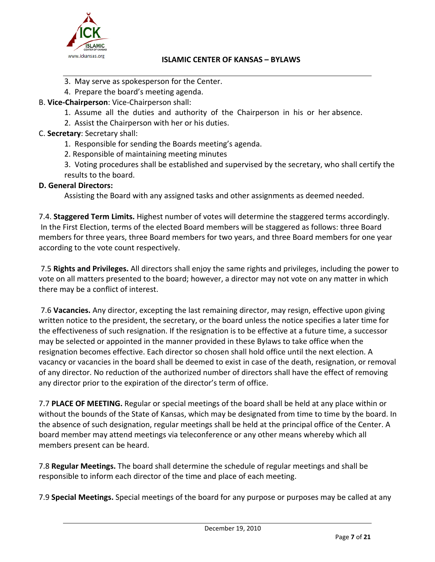

- 3. May serve as spokesperson for the Center.
- 4. Prepare the board's meeting agenda.
- B. **Vice‐Chairperson**: Vice‐Chairperson shall:
	- 1. Assume all the duties and authority of the Chairperson in his or her absence.
	- 2. Assist the Chairperson with her or his duties.
- C. **Secretary**: Secretary shall:
	- 1. Responsible for sending the Boards meeting's agenda.
	- 2. Responsible of maintaining meeting minutes

3. Voting procedures shall be established and supervised by the secretary, who shall certify the results to the board.

# **D. General Directors:**

Assisting the Board with any assigned tasks and other assignments as deemed needed.

7.4. **Staggered Term Limits.** Highest number of votes will determine the staggered terms accordingly. In the First Election, terms of the elected Board members will be staggered as follows: three Board members for three years, three Board members for two years, and three Board members for one year according to the vote count respectively.

7.5 **Rights and Privileges.** All directors shall enjoy the same rights and privileges, including the power to vote on all matters presented to the board; however, a director may not vote on any matter in which there may be a conflict of interest.

7.6 **Vacancies.** Any director, excepting the last remaining director, may resign, effective upon giving written notice to the president, the secretary, or the board unless the notice specifies a later time for the effectiveness of such resignation. If the resignation is to be effective at a future time, a successor may be selected or appointed in the manner provided in these Bylaws to take office when the resignation becomes effective. Each director so chosen shall hold office until the next election. A vacancy or vacancies in the board shall be deemed to exist in case of the death, resignation, or removal of any director. No reduction of the authorized number of directors shall have the effect of removing any director prior to the expiration of the director's term of office.

7.7 **PLACE OF MEETING.** Regular or special meetings of the board shall be held at any place within or without the bounds of the State of Kansas, which may be designated from time to time by the board. In the absence of such designation, regular meetings shall be held at the principal office of the Center. A board member may attend meetings via teleconference or any other means whereby which all members present can be heard.

7.8 **Regular Meetings.** The board shall determine the schedule of regular meetings and shall be responsible to inform each director of the time and place of each meeting.

7.9 **Special Meetings.** Special meetings of the board for any purpose or purposes may be called at any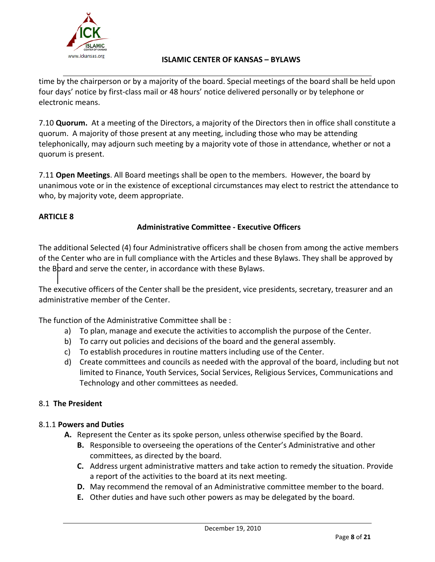

time by the chairperson or by a majority of the board. Special meetings of the board shall be held upon four days' notice by first‐class mail or 48 hours' notice delivered personally or by telephone or electronic means.

7.10 **Quorum.** At a meeting of the Directors, a majority of the Directors then in office shall constitute a quorum. A majority of those present at any meeting, including those who may be attending telephonically, may adjourn such meeting by a majority vote of those in attendance, whether or not a quorum is present.

7.11 **Open Meetings**. All Board meetings shall be open to the members. However, the board by unanimous vote or in the existence of exceptional circumstances may elect to restrict the attendance to who, by majority vote, deem appropriate.

# **ARTICLE 8**

## **Administrative Committee ‐ Executive Officers**

The additional Selected (4) four Administrative officers shall be chosen from among the active members of the Center who are in full compliance with the Articles and these Bylaws. They shall be approved by the Board and serve the center, in accordance with these Bylaws.

The executive officers of the Center shall be the president, vice presidents, secretary, treasurer and an administrative member of the Center.

The function of the Administrative Committee shall be :

- a) To plan, manage and execute the activities to accomplish the purpose of the Center.
- b) To carry out policies and decisions of the board and the general assembly.
- c) To establish procedures in routine matters including use of the Center.
- d) Create committees and councils as needed with the approval of the board, including but not limited to Finance, Youth Services, Social Services, Religious Services, Communications and Technology and other committees as needed.

#### 8.1 **The President**

#### 8.1.1 **Powers and Duties**

- **A.** Represent the Center as its spoke person, unless otherwise specified by the Board.
	- **B.** Responsible to overseeing the operations of the Center's Administrative and other committees, as directed by the board.
	- **C.** Address urgent administrative matters and take action to remedy the situation. Provide a report of the activities to the board at its next meeting.
	- **D.** May recommend the removal of an Administrative committee member to the board.
	- **E.** Other duties and have such other powers as may be delegated by the board.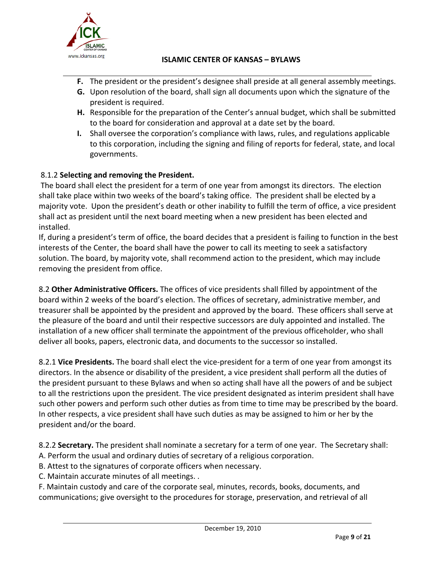

- **F.** The president or the president's designee shall preside at all general assembly meetings.
- **G.** Upon resolution of the board, shall sign all documents upon which the signature of the president is required.
- **H.** Responsible for the preparation of the Center's annual budget, which shall be submitted to the board for consideration and approval at a date set by the board.
- **I.** Shall oversee the corporation's compliance with laws, rules, and regulations applicable to this corporation, including the signing and filing of reports for federal, state, and local governments.

# 8.1.2 **Selecting and removing the President.**

The board shall elect the president for a term of one year from amongst its directors. The election shall take place within two weeks of the board's taking office. The president shall be elected by a majority vote. Upon the president's death or other inability to fulfill the term of office, a vice president shall act as president until the next board meeting when a new president has been elected and installed.

If, during a president's term of office, the board decides that a president is failing to function in the best interests of the Center, the board shall have the power to call its meeting to seek a satisfactory solution. The board, by majority vote, shall recommend action to the president, which may include removing the president from office.

8.2 **Other Administrative Officers.** The offices of vice presidents shall filled by appointment of the board within 2 weeks of the board's election. The offices of secretary, administrative member, and treasurer shall be appointed by the president and approved by the board. These officers shall serve at the pleasure of the board and until their respective successors are duly appointed and installed. The installation of a new officer shall terminate the appointment of the previous officeholder, who shall deliver all books, papers, electronic data, and documents to the successor so installed.

8.2.1 **Vice Presidents.** The board shall elect the vice‐president for a term of one year from amongst its directors. In the absence or disability of the president, a vice president shall perform all the duties of the president pursuant to these Bylaws and when so acting shall have all the powers of and be subject to all the restrictions upon the president. The vice president designated as interim president shall have such other powers and perform such other duties as from time to time may be prescribed by the board. In other respects, a vice president shall have such duties as may be assigned to him or her by the president and/or the board.

8.2.2 **Secretary.** The president shall nominate a secretary for a term of one year. The Secretary shall:

- A. Perform the usual and ordinary duties of secretary of a religious corporation.
- B. Attest to the signatures of corporate officers when necessary.
- C. Maintain accurate minutes of all meetings. .

F. Maintain custody and care of the corporate seal, minutes, records, books, documents, and communications; give oversight to the procedures for storage, preservation, and retrieval of all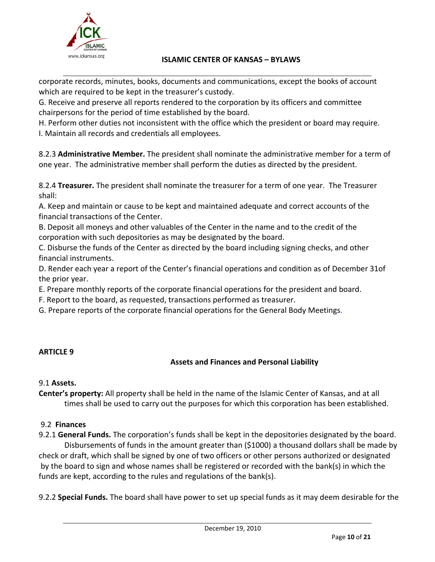

corporate records, minutes, books, documents and communications, except the books of account which are required to be kept in the treasurer's custody.

G. Receive and preserve all reports rendered to the corporation by its officers and committee chairpersons for the period of time established by the board.

H. Perform other duties not inconsistent with the office which the president or board may require. I. Maintain all records and credentials all employees.

8.2.3 **Administrative Member.** The president shall nominate the administrative member for a term of one year. The administrative member shall perform the duties as directed by the president.

8.2.4 **Treasurer.** The president shall nominate the treasurer for a term of one year. The Treasurer shall:

A. Keep and maintain or cause to be kept and maintained adequate and correct accounts of the financial transactions of the Center.

B. Deposit all moneys and other valuables of the Center in the name and to the credit of the corporation with such depositories as may be designated by the board.

C. Disburse the funds of the Center as directed by the board including signing checks, and other financial instruments.

D. Render each year a report of the Center's financial operations and condition as of December 31of the prior year.

E. Prepare monthly reports of the corporate financial operations for the president and board.

F. Report to the board, as requested, transactions performed as treasurer.

G. Prepare reports of the corporate financial operations for the General Body Meetings.

# **ARTICLE 9**

# **Assets and Finances and Personal Liability**

# 9.1 **Assets.**

**Center's property:** All property shall be held in the name of the Islamic Center of Kansas, and at all times shall be used to carry out the purposes for which this corporation has been established.

# 9.2 **Finances**

9.2.1 **General Funds.** The corporation's funds shall be kept in the depositories designated by the board. Disbursements of funds in the amount greater than (\$1000) a thousand dollars shall be made by check or draft, which shall be signed by one of two officers or other persons authorized or designated by the board to sign and whose names shall be registered or recorded with the bank(s) in which the funds are kept, according to the rules and regulations of the bank(s).

9.2.2 **Special Funds.** The board shall have power to set up special funds as it may deem desirable for the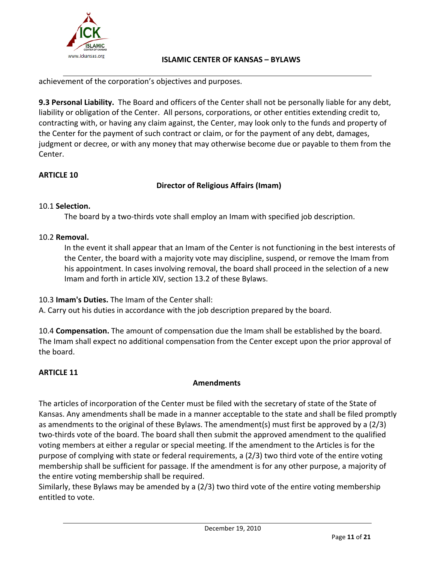

achievement of the corporation's objectives and purposes.

**9.3 Personal Liability.** The Board and officers of the Center shall not be personally liable for any debt, liability or obligation of the Center. All persons, corporations, or other entities extending credit to, contracting with, or having any claim against, the Center, may look only to the funds and property of the Center for the payment of such contract or claim, or for the payment of any debt, damages, judgment or decree, or with any money that may otherwise become due or payable to them from the Center.

# **ARTICLE 10**

# **Director of Religious Affairs (Imam)**

# 10.1 **Selection.**

The board by a two-thirds vote shall employ an Imam with specified job description.

## 10.2 **Removal.**

In the event it shall appear that an Imam of the Center is not functioning in the best interests of the Center, the board with a majority vote may discipline, suspend, or remove the Imam from his appointment. In cases involving removal, the board shall proceed in the selection of a new Imam and forth in article XIV, section 13.2 of these Bylaws.

10.3 **Imam's Duties.** The Imam of the Center shall:

A. Carry out his duties in accordance with the job description prepared by the board.

10.4 **Compensation.** The amount of compensation due the Imam shall be established by the board. The Imam shall expect no additional compensation from the Center except upon the prior approval of the board.

# **ARTICLE 11**

# **Amendments**

The articles of incorporation of the Center must be filed with the secretary of state of the State of Kansas. Any amendments shall be made in a manner acceptable to the state and shall be filed promptly as amendments to the original of these Bylaws. The amendment(s) must first be approved by a (2/3) two-thirds vote of the board. The board shall then submit the approved amendment to the qualified voting members at either a regular or special meeting. If the amendment to the Articles is for the purpose of complying with state or federal requirements, a (2/3) two third vote of the entire voting membership shall be sufficient for passage. If the amendment is for any other purpose, a majority of the entire voting membership shall be required.

Similarly, these Bylaws may be amended by a (2/3) two third vote of the entire voting membership entitled to vote.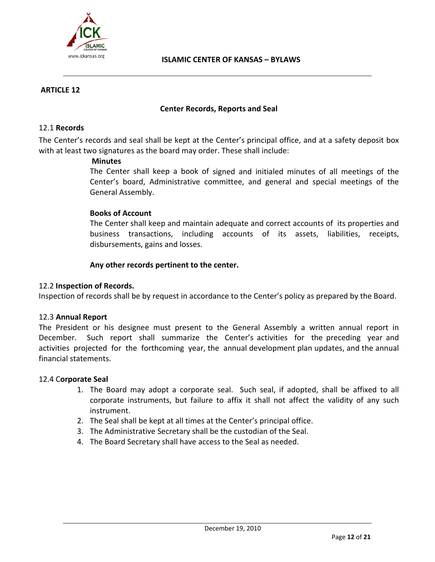

## **ARTICLE 12**

#### **Center Records, Reports and Seal**

#### 12.1 **Records**

The Center's records and seal shall be kept at the Center's principal office, and at a safety deposit box with at least two signatures as the board may order. These shall include:

#### **Minutes**

The Center shall keep a book of signed and initialed minutes of all meetings of the Center's board, Administrative committee, and general and special meetings of the General Assembly.

#### **Books of Account**

The Center shall keep and maintain adequate and correct accounts of its properties and business transactions, including accounts of its assets, liabilities, receipts, disbursements, gains and losses.

#### **Any other records pertinent to the center.**

#### 12.2 **Inspection of Records.**

Inspection of records shall be by request in accordance to the Center's policy as prepared by the Board.

#### 12.3 **Annual Report**

The President or his designee must present to the General Assembly a written annual report in December. Such report shall summarize the Center's activities for the preceding year and activities projected for the forthcoming year, the annual development plan updates, and the annual financial statements.

#### 12.4 C**orporate Seal**

- 1. The Board may adopt a corporate seal. Such seal, if adopted, shall be affixed to all corporate instruments, but failure to affix it shall not affect the validity of any such instrument.
- 2. The Seal shall be kept at all times at the Center's principal office.
- 3. The Administrative Secretary shall be the custodian of the Seal.
- 4. The Board Secretary shall have access to the Seal as needed.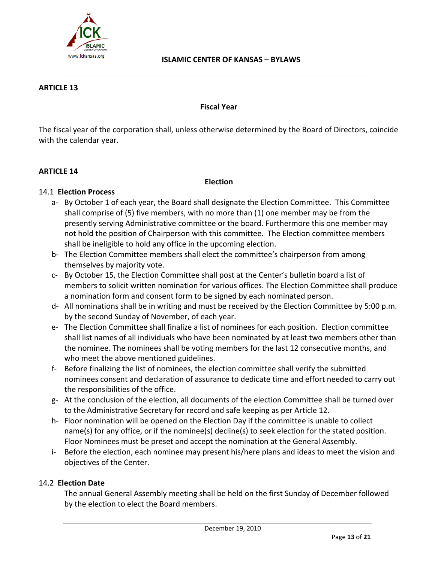

#### **ARTICLE 13**

#### **Fiscal Year**

The fiscal year of the corporation shall, unless otherwise determined by the Board of Directors, coincide with the calendar year.

#### **ARTICLE 14**

#### **Election**

#### 14.1 **Election Process**

- a‐ By October 1 of each year, the Board shall designate the Election Committee. This Committee shall comprise of (5) five members, with no more than (1) one member may be from the presently serving Administrative committee or the board. Furthermore this one member may not hold the position of Chairperson with this committee. The Election committee members shall be ineligible to hold any office in the upcoming election.
- b‐ The Election Committee members shall elect the committee's chairperson from among themselves by majority vote.
- c‐ By October 15, the Election Committee shall post at the Center's bulletin board a list of members to solicit written nomination for various offices. The Election Committee shall produce a nomination form and consent form to be signed by each nominated person.
- d‐ All nominations shall be in writing and must be received by the Election Committee by 5:00 p.m. by the second Sunday of November, of each year.
- e‐ The Election Committee shall finalize a list of nominees for each position. Election committee shall list names of all individuals who have been nominated by at least two members other than the nominee. The nominees shall be voting members for the last 12 consecutive months, and who meet the above mentioned guidelines.
- f‐ Before finalizing the list of nominees, the election committee shall verify the submitted nominees consent and declaration of assurance to dedicate time and effort needed to carry out the responsibilities of the office.
- g‐ At the conclusion of the election, all documents of the election Committee shall be turned over to the Administrative Secretary for record and safe keeping as per Article 12.
- h- Floor nomination will be opened on the Election Day if the committee is unable to collect name(s) for any office, or if the nominee(s) decline(s) to seek election for the stated position. Floor Nominees must be preset and accept the nomination at the General Assembly.
- i- Before the election, each nominee may present his/here plans and ideas to meet the vision and objectives of the Center.

#### 14.2 **Election Date**

The annual General Assembly meeting shall be held on the first Sunday of December followed by the election to elect the Board members.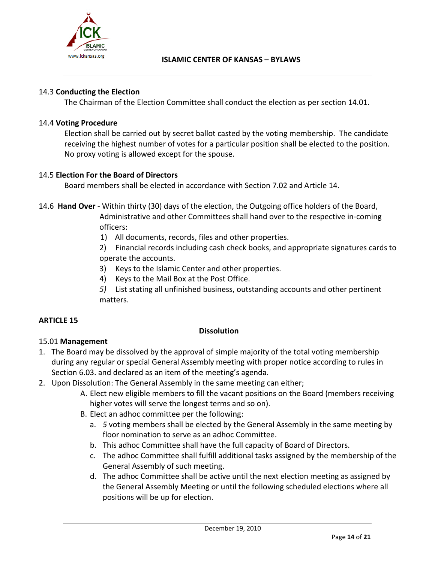

## 14.3 **Conducting the Election**

The Chairman of the Election Committee shall conduct the election as per section 14.01.

## 14.4 **Voting Procedure**

Election shall be carried out by secret ballot casted by the voting membership. The candidate receiving the highest number of votes for a particular position shall be elected to the position. No proxy voting is allowed except for the spouse.

## 14.5 **Election For the Board of Directors**

Board members shall be elected in accordance with Section 7.02 and Article 14.

- 14.6 **Hand Over** ‐ Within thirty (30) days of the election, the Outgoing office holders of the Board, Administrative and other Committees shall hand over to the respective in‐coming officers:
	- 1) All documents, records, files and other properties.

2) Financial records including cash check books, and appropriate signatures cards to operate the accounts.

- 3) Keys to the Islamic Center and other properties.
- 4) Keys to the Mail Box at the Post Office.

*5)* List stating all unfinished business, outstanding accounts and other pertinent matters.

# **ARTICLE 15**

#### **Dissolution**

# 15.01 **Management**

- 1. The Board may be dissolved by the approval of simple majority of the total voting membership during any regular or special General Assembly meeting with proper notice according to rules in Section 6.03. and declared as an item of the meeting's agenda.
- 2. Upon Dissolution: The General Assembly in the same meeting can either;
	- A. Elect new eligible members to fill the vacant positions on the Board (members receiving higher votes will serve the longest terms and so on).
	- B. Elect an adhoc committee per the following:
		- a. *5* voting members shall be elected by the General Assembly in the same meeting by floor nomination to serve as an adhoc Committee.
		- b. This adhoc Committee shall have the full capacity of Board of Directors.
		- c. The adhoc Committee shall fulfill additional tasks assigned by the membership of the General Assembly of such meeting.
		- d. The adhoc Committee shall be active until the next election meeting as assigned by the General Assembly Meeting or until the following scheduled elections where all positions will be up for election.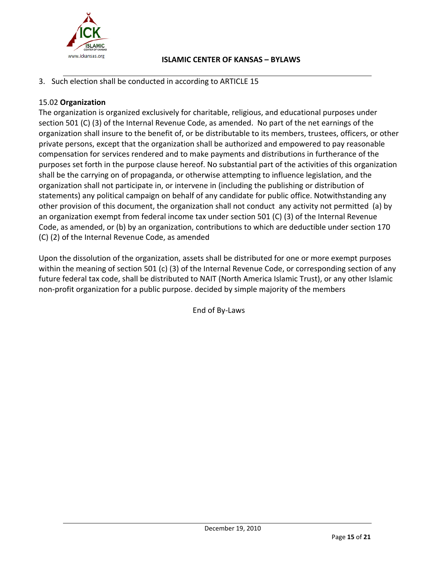

3. Such election shall be conducted in according to ARTICLE 15

# 15.02 **Organization**

The organization is organized exclusively for charitable, religious, and educational purposes under section 501 (C) (3) of the Internal Revenue Code, as amended. No part of the net earnings of the organization shall insure to the benefit of, or be distributable to its members, trustees, officers, or other private persons, except that the organization shall be authorized and empowered to pay reasonable compensation for services rendered and to make payments and distributions in furtherance of the purposes set forth in the purpose clause hereof. No substantial part of the activities of this organization shall be the carrying on of propaganda, or otherwise attempting to influence legislation, and the organization shall not participate in, or intervene in (including the publishing or distribution of statements) any political campaign on behalf of any candidate for public office. Notwithstanding any other provision of this document, the organization shall not conduct any activity not permitted (a) by an organization exempt from federal income tax under section 501 (C) (3) of the Internal Revenue Code, as amended, or (b) by an organization, contributions to which are deductible under section 170 (C) (2) of the Internal Revenue Code, as amended

Upon the dissolution of the organization, assets shall be distributed for one or more exempt purposes within the meaning of section 501 (c) (3) of the Internal Revenue Code, or corresponding section of any future federal tax code, shall be distributed to NAIT (North America Islamic Trust), or any other Islamic non‐profit organization for a public purpose. decided by simple majority of the members

End of By‐Laws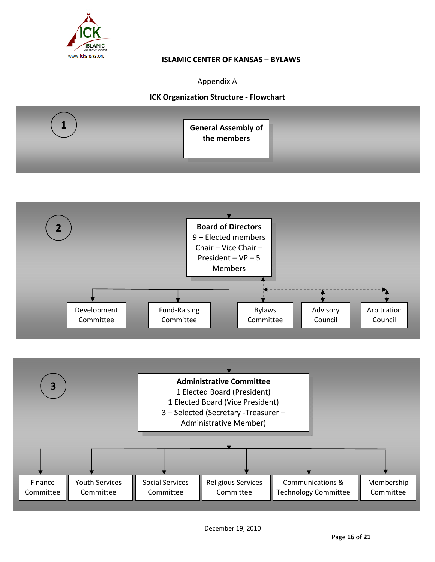

Appendix A

# **ICK Organization Structure ‐ Flowchart**

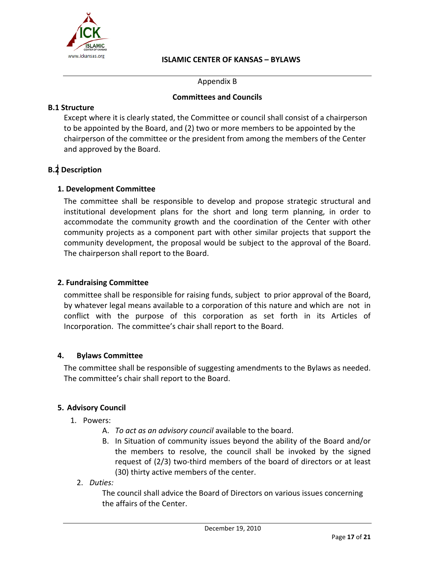

Appendix B

#### **Committees and Councils**

#### **B.1 Structure**

Except where it is clearly stated, the Committee or council shall consist of a chairperson to be appointed by the Board, and (2) two or more members to be appointed by the chairperson of the committee or the president from among the members of the Center and approved by the Board.

# **B.2 Description**

#### **1. Development Committee**

The committee shall be responsible to develop and propose strategic structural and institutional development plans for the short and long term planning, in order to accommodate the community growth and the coordination of the Center with other community projects as a component part with other similar projects that support the community development, the proposal would be subject to the approval of the Board. The chairperson shall report to the Board.

#### **2. Fundraising Committee**

committee shall be responsible for raising funds, subject to prior approval of the Board, by whatever legal means available to a corporation of this nature and which are not in conflict with the purpose of this corporation as set forth in its Articles of Incorporation. The committee's chair shall report to the Board.

#### **4. Bylaws Committee**

The committee shall be responsible of suggesting amendments to the Bylaws as needed. The committee's chair shall report to the Board.

#### **5. Advisory Council**

- 1. Powers:
	- A. *To act as an advisory council* available to the board.
	- B. In Situation of community issues beyond the ability of the Board and/or the members to resolve, the council shall be invoked by the signed request of (2/3) two-third members of the board of directors or at least (30) thirty active members of the center.
	- 2. *Duties:*

The council shall advice the Board of Directors on various issues concerning the affairs of the Center.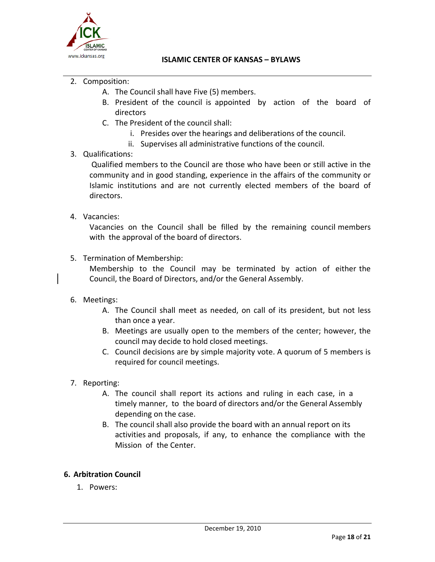

- 2. Composition:
	- A. The Council shall have Five (5) members.
	- B. President of the council is appointed by action of the board of directors
	- C. The President of the council shall:
		- i. Presides over the hearings and deliberations of the council.
		- ii. Supervises all administrative functions of the council.

# 3. Qualifications:

Qualified members to the Council are those who have been or still active in the community and in good standing, experience in the affairs of the community or Islamic institutions and are not currently elected members of the board of directors.

# 4. Vacancies:

Vacancies on the Council shall be filled by the remaining council members with the approval of the board of directors.

5. Termination of Membership:

Membership to the Council may be terminated by action of either the Council, the Board of Directors, and/or the General Assembly.

#### 6. Meetings:

- A. The Council shall meet as needed, on call of its president, but not less than once a year.
- B. Meetings are usually open to the members of the center; however, the council may decide to hold closed meetings.
- C. Council decisions are by simple majority vote. A quorum of 5 members is required for council meetings.
- 7. Reporting:
	- A. The council shall report its actions and ruling in each case, in a timely manner, to the board of directors and/or the General Assembly depending on the case.
	- B. The council shall also provide the board with an annual report on its activities and proposals, if any, to enhance the compliance with the Mission of the Center.

# **6. Arbitration Council**

1. Powers: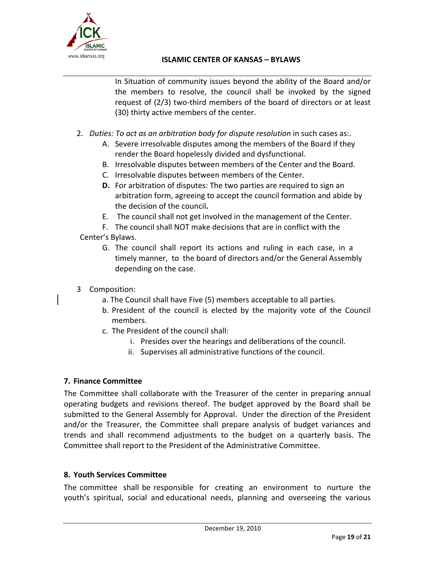

In Situation of community issues beyond the ability of the Board and/or the members to resolve, the council shall be invoked by the signed request of (2/3) two-third members of the board of directors or at least (30) thirty active members of the center.

- 2. *Duties: To act as an arbitration body for dispute resolution* in such cases as:.
	- A. Severe irresolvable disputes among the members of the Board if they render the Board hopelessly divided and dysfunctional.
	- B. Irresolvable disputes between members of the Center and the Board.
	- C. Irresolvable disputes between members of the Center.
	- **D.** For arbitration of disputes: The two parties are required to sign an arbitration form, agreeing to accept the council formation and abide by the decision of the council**.**
	- E. The council shall not get involved in the management of the Center.
- F. The council shall NOT make decisions that are in conflict with the Center's Bylaws.
- - G. The council shall report its actions and ruling in each case, in a timely manner, to the board of directors and/or the General Assembly depending on the case.
- 3 Composition:
	- a. The Council shall have Five (5) members acceptable to all parties.
	- b. President of the council is elected by the majority vote of the Council members.
	- c. The President of the council shall:
		- i. Presides over the hearings and deliberations of the council.
		- ii. Supervises all administrative functions of the council.

# **7. Finance Committee**

The Committee shall collaborate with the Treasurer of the center in preparing annual operating budgets and revisions thereof. The budget approved by the Board shall be submitted to the General Assembly for Approval. Under the direction of the President and/or the Treasurer, the Committee shall prepare analysis of budget variances and trends and shall recommend adjustments to the budget on a quarterly basis. The Committee shall report to the President of the Administrative Committee.

# **8. Youth Services Committee**

The committee shall be responsible for creating an environment to nurture the youth's spiritual, social and educational needs, planning and overseeing the various